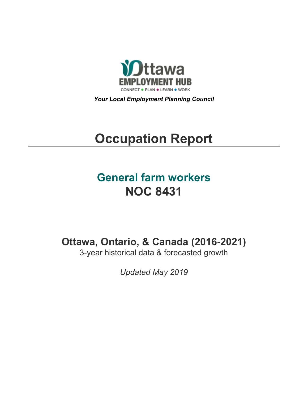

*Your Local Employment Planning Council*

# **Occupation Report**

## **General farm workers NOC 8431**

**Ottawa, Ontario, & Canada (2016-2021)**

3-year historical data & forecasted growth

*Updated May 2019*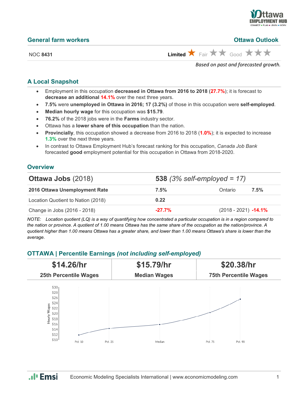

#### **General farm workers Ottawa Outlook**

NOC 8431 **Limited**  $\overrightarrow{X}$  Fair  $\overrightarrow{X}$  Good  $\overrightarrow{X}$   $\overrightarrow{X}$ 

*Based on past and forecasted growth.*

## **A Local Snapshot**

- Employment in this occupation **decreased in Ottawa from 2016 to 2018** (**27.7%**); it is forecast to **decrease an additional 14.1%** over the next three years.
- **7.5%** were **unemployed in Ottawa in 2016; 17 (3.2%)** of those in this occupation were **self-employed**.
- **Median hourly wage** for this occupation was **\$15.79**.
- **76.2%** of the 2018 jobs were in the **Farms** industry sector.
- Ottawa has a **lower share of this occupation** than the nation.
- **Provincially**, this occupation showed a decrease from 2016 to 2018 (**1.0%**); it is expected to increase **1.3%** over the next three years.
- In contrast to Ottawa Employment Hub's forecast ranking for this occupation, *Canada Job Bank*  forecasted **good** employment potential for this occupation in Ottawa from 2018-2020.

## **Overview**

| <b>Ottawa Jobs (2018)</b>          |           | <b>538</b> (3% self-employed = $17$ ) |      |  |  |
|------------------------------------|-----------|---------------------------------------|------|--|--|
| 2016 Ottawa Unemployment Rate      | 7.5%      | Ontario                               | 7.5% |  |  |
| Location Quotient to Nation (2018) | 0.22      |                                       |      |  |  |
| Change in Jobs (2016 - 2018)       | $-27.7\%$ | $(2018 - 2021)$ -14.1%                |      |  |  |

*NOTE: Location quotient (LQ) is a way of quantifying how concentrated a particular occupation is in a region compared to the nation or province. A quotient of 1.00 means Ottawa has the same share of the occupation as the nation/province. A quotient higher than 1.00 means Ottawa has a greater share, and lower than 1.00 means Ottawa's share is lower than the average.*

## **OTTAWA | Percentile Earnings** *(not including self-employed)*



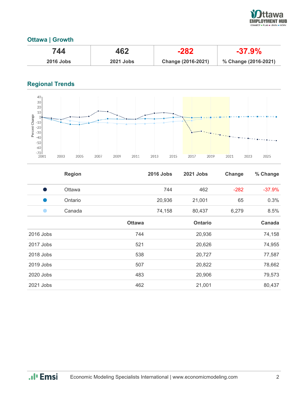

## **Ottawa | Growth**

| 744              | 462              | $-282$             | $-37.9\%$            |
|------------------|------------------|--------------------|----------------------|
| <b>2016 Jobs</b> | <b>2021 Jobs</b> | Change (2016-2021) | % Change (2016-2021) |

## **Regional Trends**



|           | <b>Region</b> |               | <b>2016 Jobs</b> | <b>2021 Jobs</b> | Change | % Change |
|-----------|---------------|---------------|------------------|------------------|--------|----------|
|           | Ottawa        |               | 744              | 462              | $-282$ | $-37.9%$ |
|           | Ontario       |               | 20,936           | 21,001           | 65     | 0.3%     |
|           | Canada        |               | 74,158           | 80,437           | 6,279  | 8.5%     |
|           |               | <b>Ottawa</b> |                  | <b>Ontario</b>   |        | Canada   |
| 2016 Jobs |               | 744           |                  | 20,936           |        | 74,158   |
| 2017 Jobs |               | 521           |                  | 20,626           |        | 74,955   |
| 2018 Jobs |               | 538           |                  | 20,727           |        | 77,587   |
| 2019 Jobs |               | 507           |                  | 20,822           |        | 78,662   |
| 2020 Jobs |               | 483           |                  | 20,906           |        | 79,573   |
| 2021 Jobs |               | 462           |                  | 21,001           |        | 80,437   |

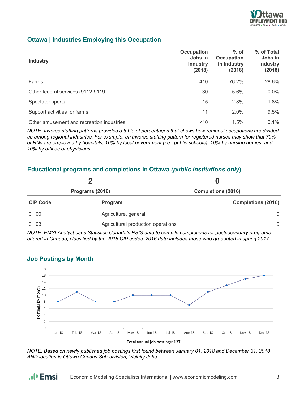

## **Ottawa | Industries Employing this Occupation**

| <b>Industry</b>                           | <b>Occupation</b><br>Jobs in<br><b>Industry</b><br>(2018) | $%$ of<br><b>Occupation</b><br>in Industry<br>(2018) | % of Total<br>Jobs in<br><b>Industry</b><br>(2018) |
|-------------------------------------------|-----------------------------------------------------------|------------------------------------------------------|----------------------------------------------------|
| Farms                                     | 410                                                       | 76.2%                                                | 28.6%                                              |
| Other federal services (9112-9119)        | 30                                                        | 5.6%                                                 | 0.0%                                               |
| Spectator sports                          | 15                                                        | 2.8%                                                 | 1.8%                                               |
| Support activities for farms              | 11                                                        | 2.0%                                                 | 9.5%                                               |
| Other amusement and recreation industries | 10                                                        | 1.5%                                                 | $0.1\%$                                            |

*NOTE: Inverse staffing patterns provides a table of percentages that shows how regional occupations are divided up among regional industries. For example, an inverse staffing pattern for registered nurses may show that 70% of RNs are employed by hospitals, 10% by local government (i.e., public schools), 10% by nursing homes, and 10% by offices of physicians.*

### **Educational programs and completions in Ottawa** *(public institutions only***)**

| Programs (2016) |                                    | <b>Completions (2016)</b> |  |
|-----------------|------------------------------------|---------------------------|--|
|                 |                                    |                           |  |
| 01.00           | Agriculture, general               | $\Omega$                  |  |
| 01.03           | Agricultural production operations | $\Omega$                  |  |

*NOTE: EMSI Analyst uses Statistics Canada's PSIS data to compile completions for postsecondary programs offered in Canada, classified by the 2016 CIP codes. 2016 data includes those who graduated in spring 2017.*



#### **Job Postings by Month**

*NOTE: Based on newly published job postings first found between January 01, 2018 and December 31, 2018 AND location is Ottawa Census Sub-division, Vicinity Jobs.*